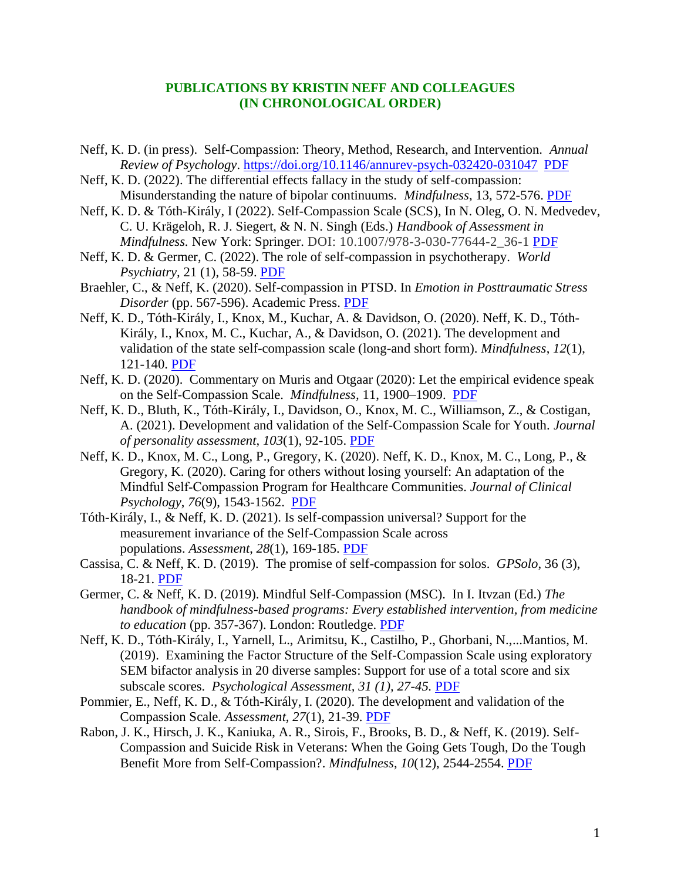## **PUBLICATIONS BY KRISTIN NEFF AND COLLEAGUES (IN CHRONOLOGICAL ORDER)**

- Neff, K. D. (in press). Self-Compassion: Theory, Method, Research, and Intervention. *Annual Review of Psychology*.<https://doi.org/10.1146/annurev-psych-032420-031047> [PDF](https://self-compassion.org/wp-content/uploads/2022/06/Psych-Review-article-in-press.pdf)
- Neff, K. D. (2022). The differential effects fallacy in the study of self-compassion: Misunderstanding the nature of bipolar continuums. *Mindfulness*, 13, 572-576. [PDF](https://self-compassion.org/wp-content/uploads/2022/03/Neff2022_Article_TheDifferentialEffectsFallacyI.pdf)
- Neff, K. D. & Tóth-Király, I (2022). Self-Compassion Scale (SCS), In N. Oleg, O. N. Medvedev, C. U. Krägeloh, R. J. Siegert, & N. N. Singh (Eds.) *Handbook of Assessment in Mindfulness.* New York: Springer. DOI: 10.1007/978-3-030-77644-2 36-1 [PDF](https://self-compassion.org/wp-content/uploads/2022/01/Self-CompassionScaleChapter.pdf)
- Neff, K. D. & Germer, C. (2022). The role of self-compassion in psychotherapy. *World Psychiatry,* 21 (1), 58-59. [PDF](https://self-compassion.org/wp-content/uploads/2022/01/World-Psychiatry_February-2022-Neff-Germer.pdf)
- Braehler, C., & Neff, K. (2020). Self-compassion in PTSD. In *Emotion in Posttraumatic Stress Disorder* (pp. 567-596). Academic Press. [PDF](https://self-compassion.org/wp-content/uploads/2021/01/BraehlerNeff-2020.pdf)
- Neff, K. D., Tóth-Király, I., Knox, M., Kuchar, A. & Davidson, O. (2020). Neff, K. D., Tóth-Király, I., Knox, M. C., Kuchar, A., & Davidson, O. (2021). The development and validation of the state self-compassion scale (long-and short form). *Mindfulness*, *12*(1), 121-140. [PDF](https://self-compassion.org/wp-content/uploads/2022/03/Neff2021_Article_TheDevelopmentAndValidationOfT.pdf)
- Neff, K. D. (2020). Commentary on Muris and Otgaar (2020): Let the empirical evidence speak on the Self-Compassion Scale. *Mindfulness,* 11, 1900–1909. [PDF](https://self-compassion.org/wp-content/uploads/2020/05/Neff2020b.pdf)
- Neff, K. D., Bluth, K., Tóth-Király, I., Davidson, O., Knox, M. C., Williamson, Z., & Costigan, A. (2021). Development and validation of the Self-Compassion Scale for Youth. *Journal of personality assessment*, *103*(1), 92-105. [PDF](https://self-compassion.org/wp-content/uploads/2022/03/Development-and-Validation-of-the-Self-Compassion-Scale-for-Youth.pdf)
- Neff, K. D., Knox, M. C., Long, P., Gregory, K. (2020). Neff, K. D., Knox, M. C., Long, P., & Gregory, K. (2020). Caring for others without losing yourself: An adaptation of the Mindful Self‐Compassion Program for Healthcare Communities. *Journal of Clinical Psychology*, *76*(9), 1543-1562. [PDF](https://self-compassion.org/wp-content/uploads/2022/03/J-Clin-Psychol-2020-Neff-Caring-for-others-without-losing-yourself-An-adaptation-of-the-Mindful-Self‐Compassion.pdf)
- Tóth-Király, I., & Neff, K. D. (2021). Is self-compassion universal? Support for the measurement invariance of the Self-Compassion Scale across populations. *Assessment*, *28*(1), 169-185. [PDF](https://self-compassion.org/wp-content/uploads/2022/03/Toth-Kiraly2021.pdf)
- Cassisa, C. & Neff, K. D. (2019). The promise of self-compassion for solos. *GPSolo*, 36 (3), 18-21. [PDF](https://self-compassion.org/wp-content/uploads/2019/09/cassisa2019.pdf)
- Germer, C. & Neff, K. D. (2019). Mindful Self-Compassion (MSC). In I. Itvzan (Ed.) *The handbook of mindfulness-based programs: Every established intervention, from medicine to education* (pp. 357-367). London: Routledge. [PDF](https://self-compassion.org/wp-content/uploads/2019/09/Germer2019.pdf)
- Neff, K. D., Tóth-Király, I., Yarnell, L., Arimitsu, K., Castilho, P., Ghorbani, N.,...Mantios, M. (2019). Examining the Factor Structure of the Self-Compassion Scale using exploratory SEM bifactor analysis in 20 diverse samples: Support for use of a total score and six subscale scores. *Psychological Assessment, 31 (1), 27-45.* [PDF](https://self-compassion.org/wp-content/uploads/2019/09/Neff2019.pdf)
- Pommier, E., Neff, K. D., & Tóth-Király, I. (2020). The development and validation of the Compassion Scale. *Assessment*, *27*(1), 21-39. [PDF](https://self-compassion.org/wp-content/uploads/2022/03/Pommier2021.pdf)
- Rabon, J. K., Hirsch, J. K., Kaniuka, A. R., Sirois, F., Brooks, B. D., & Neff, K. (2019). Self-Compassion and Suicide Risk in Veterans: When the Going Gets Tough, Do the Tough Benefit More from Self-Compassion?. *Mindfulness*, *10*(12), 2544-2554. [PDF](https://self-compassion.org/wp-content/uploads/2019/09/Rabon.2019.pdf)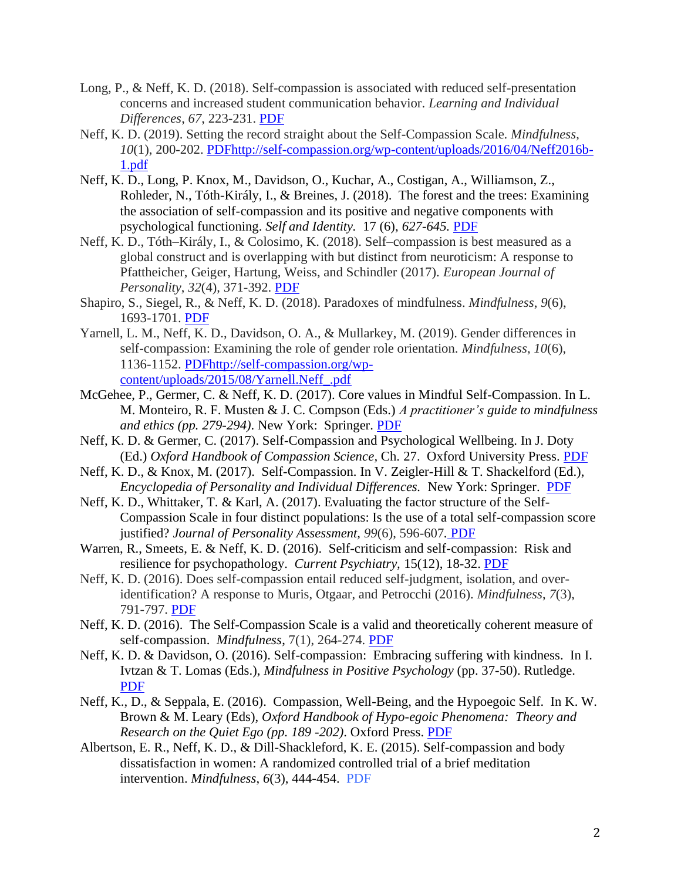- Long, P., & Neff, K. D. (2018). Self-compassion is associated with reduced self-presentation concerns and increased student communication behavior. *Learning and Individual Differences*, *67*, 223-231. [PDF](https://self-compassion.org/wp-content/uploads/2018/10/Long.Neff_.2018.pdf)
- Neff, K. D. (2019). Setting the record straight about the Self-Compassion Scale. *Mindfulness*, *10*(1), 200-202. [PDF](https://self-compassion.org/wp-content/uploads/2022/03/Neff2019_Article_SettingTheRecordStraightAboutT.pdf)[http://self-compassion.org/wp-content/uploads/2016/04/Neff2016b-](http://self-compassion.org/wp-content/uploads/2016/04/Neff2016b-1.pdf)[1.pdf](http://self-compassion.org/wp-content/uploads/2016/04/Neff2016b-1.pdf)
- Neff, K. D., Long, P. Knox, M., Davidson, O., Kuchar, A., Costigan, A., Williamson, Z., Rohleder, N., Tóth-Király, I., & Breines, J. (2018). The forest and the trees: Examining the association of self-compassion and its positive and negative components with psychological functioning. *Self and Identity.* 17 (6), *627-645.* [PDF](https://self-compassion.org/wp-content/uploads/2018/10/NeffLongetal2018.pdf)
- Neff, K. D., Tóth–Király, I., & Colosimo, K. (2018). Self–compassion is best measured as a global construct and is overlapping with but distinct from neuroticism: A response to Pfattheicher, Geiger, Hartung, Weiss, and Schindler (2017). *European Journal of Personality*, *32*(4), 371-392. [PDF](https://self-compassion.org/wp-content/uploads/2022/03/NeffNeuroticism2018.pdf)
- Shapiro, S., Siegel, R., & Neff, K. D. (2018). Paradoxes of mindfulness. *Mindfulness*, *9*(6), 1693-1701. [PDF](https://self-compassion.org/wp-content/uploads/2022/03/Shapiro2018_Article_ParadoxesOfMindfulness.pdf)
- Yarnell, L. M., Neff, K. D., Davidson, O. A., & Mullarkey, M. (2019). Gender differences in self-compassion: Examining the role of gender role orientation. *Mindfulness*, *10*(6), 1136-1152. [PDF](https://self-compassion.org/wp-content/uploads/2022/03/Yarnell2019_Article_GenderDifferencesInSelf-Compas.pdf)[http://self-compassion.org/wp](http://self-compassion.org/wp-content/uploads/2015/08/Yarnell.Neff_.pdf)[content/uploads/2015/08/Yarnell.Neff\\_.pdf](http://self-compassion.org/wp-content/uploads/2015/08/Yarnell.Neff_.pdf)
- McGehee, P., Germer, C. & Neff, K. D. (2017). Core values in Mindful Self-Compassion. In L. M. Monteiro, R. F. Musten & J. C. Compson (Eds.) *A practitioner's guide to mindfulness and ethics (pp. 279-294)*. New York: Springer. [PDF](https://self-compassion.org/wp-content/uploads/2019/09/McGehee2017.pdf)
- Neff, K. D. & Germer, C. (2017). Self-Compassion and Psychological Wellbeing. In J. Doty (Ed.) *Oxford Handbook of Compassion Science,* Ch. 27. Oxford University Press. [PDF](http://self-compassion.org/wp-content/uploads/2017/09/Neff.Germer.2017.pdf)
- Neff, K. D., & Knox, M. (2017). Self-Compassion. In V. Zeigler-Hill & T. Shackelford (Ed.), *Encyclopedia of Personality and Individual Differences.* New York: Springer. [PDF](http://self-compassion.org/wp-content/uploads/2017/09/Neff.Knox2017.pdf)
- Neff, K. D., Whittaker, T. & Karl, A. (2017). Evaluating the factor structure of the Self-Compassion Scale in four distinct populations: Is the use of a total self-compassion score justified? *Journal of Personality Assessment, 99*(6), 596-607*.* [PDF](https://self-compassion.org/wp-content/uploads/2018/10/Neff.Whittaker.Karl2016.pdf)
- Warren, R., Smeets, E. & Neff, K. D. (2016). Self-criticism and self-compassion: Risk and resilience for psychopathology. *Current Psychiatry,* 15(12), 18-32. [PDF](http://self-compassion.org/wp-content/uploads/2016/12/Self-Criticism.pdf)
- Neff, K. D. (2016). Does self-compassion entail reduced self-judgment, isolation, and overidentification? A response to Muris, Otgaar, and Petrocchi (2016). *Mindfulness*, *7*(3), 791-797. [PDF](https://self-compassion.org/wp-content/uploads/2022/03/Neff2016_Article_DoesSelf-CompassionEntailReduc.pdf)
- Neff, K. D. (2016). The Self-Compassion Scale is a valid and theoretically coherent measure of self-compassion. *Mindfulness*, 7(1), 264-274. [PDF](http://self-compassion.org/wp-content/uploads/2015/12/ScaleMindfulness.pdf)
- Neff, K. D. & Davidson, O. (2016). Self-compassion: Embracing suffering with kindness. In I. Ivtzan & T. Lomas (Eds.), *Mindfulness in Positive Psychology* (pp. 37-50). Rutledge. [PDF](http://self-compassion.org/wp-content/uploads/2016/07/Neff-and-Davidson.2016.pdf)
- Neff, K., D., & Seppala, E. (2016). Compassion, Well-Being, and the Hypoegoic Self. In K. W. Brown & M. Leary (Eds), *Oxford Handbook of Hypo-egoic Phenomena: Theory and Research on the Quiet Ego (pp. 189 -202)*. Oxford Press. [PDF](http://self-compassion.org/wp-content/uploads/2017/01/Neff-Seppala-chap-compassion-in-press.pdf)
- Albertson, E. R., Neff, K. D., & Dill-Shackleford, K. E. (2015). Self-compassion and body dissatisfaction in women: A randomized controlled trial of a brief meditation intervention. *Mindfulness*, *6*(3), 444-454. [PDF](https://self-compassion.org/wp-content/uploads/2022/03/Albertson2015_Article_Self-CompassionAndBodyDissatis.pdf)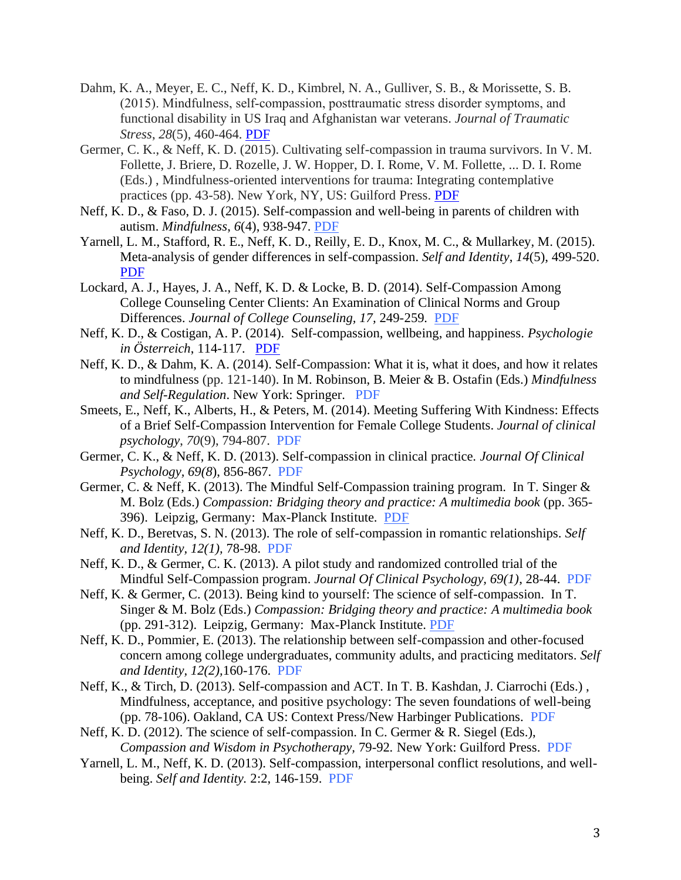- Dahm, K. A., Meyer, E. C., Neff, K. D., Kimbrel, N. A., Gulliver, S. B., & Morissette, S. B. (2015). Mindfulness, self‐compassion, posttraumatic stress disorder symptoms, and functional disability in US Iraq and Afghanistan war veterans. *Journal of Traumatic Stress*, *28*(5), 460-464. [PDF](http://self-compassion.org/wp-content/uploads/2015/12/Dahm_et_al.pdf)
- Germer, C. K., & Neff, K. D. (2015). Cultivating self-compassion in trauma survivors. In V. M. Follette, J. Briere, D. Rozelle, J. W. Hopper, D. I. Rome, V. M. Follette, ... D. I. Rome (Eds.) , Mindfulness-oriented interventions for trauma: Integrating contemplative practices (pp. 43-58). New York, NY, US: Guilford Press. [PDF](http://self-compassion.org/wp-content/uploads/2015/08/Germer.Neff_.Trauma.pdf)
- Neff, K. D., & Faso, D. J. (2015). Self-compassion and well-being in parents of children with autism. *Mindfulness*, *6*(4), 938-947. [PDF](https://self-compassion.org/wp-content/uploads/2022/03/Neff-Faso2015_Article_Self-CompassionAndWell-BeingIn.pdf)
- Yarnell, L. M., Stafford, R. E., Neff, K. D., Reilly, E. D., Knox, M. C., & Mullarkey, M. (2015). Meta-analysis of gender differences in self-compassion. *Self and Identity*, *14*(5), 499-520. [PDF](https://self-compassion.org/wp-content/uploads/2022/03/Yarnell2015.pdf)
- Lockard, A. J., Hayes, J. A., Neff, K. D. & Locke, B. D. (2014). Self-Compassion Among College Counseling Center Clients: An Examination of Clinical Norms and Group Differences. *Journal of College Counseling, 17,* 249-259*.* [PDF](https://self-compassion.org/wp-content/uploads/2022/02/Lockard.Neff_.pdf)
- Neff, K. D., & Costigan, A. P. (2014). Self-compassion, wellbeing, and happiness. *Psychologie in Österreich*, 114-117. [PDF](http://self-compassion.org/wp-content/uploads/publications/Neff&Costigan.pdf)
- Neff, K. D., & Dahm, K. A. (2014). Self-Compassion: What it is, what it does, and how it relates to mindfulness (pp. 121-140). In M. Robinson, B. Meier & B. Ostafin (Eds.) *Mindfulness and Self-Regulation*. New York: Springer. [PDF](http://self-compassion.org/wp-content/uploads/publications/Mindfulness_and_SC_chapter_in_press.pdf)
- Smeets, E., Neff, K., Alberts, H., & Peters, M. (2014). Meeting Suffering With Kindness: Effects of a Brief Self-Compassion Intervention for Female College Students. *Journal of clinical psychology*, *70*(9), 794-807. [PDF](http://self-compassion.org/wp-content/uploads/publications/Smeets3week.pdf)
- Germer, C. K., & Neff, K. D. (2013). Self-compassion in clinical practice. *Journal Of Clinical Psychology, 69(8*), 856-867. [PDF](http://self-compassion.org/wp-content/uploads/publications/germer.neff.pdf)
- Germer, C. & Neff, K. (2013). The Mindful Self-Compassion training program. In T. Singer & M. Bolz (Eds.) *Compassion: Bridging theory and practice: A multimedia book* (pp. 365- 396). Leipzig, Germany: Max-Planck Institute. [PDF](http://www.compassion-training.org/?lang=en&page=home)
- Neff, K. D., Beretvas, S. N. (2013). The role of self-compassion in romantic relationships. *Self and Identity, 12(1),* 78-98. [PDF](http://self-compassion.org/wp-content/uploads/publications/Neff.Beretvas.pdf)
- Neff, K. D., & Germer, C. K. (2013). A pilot study and randomized controlled trial of the Mindful Self-Compassion program. *Journal Of Clinical Psychology, 69(1)*, 28-44. [PDF](http://self-compassion.org/wp-content/uploads/publications/Neff-Germer-MSC-RCT-2012.pdf)
- Neff, K. & Germer, C. (2013). Being kind to yourself: The science of self-compassion. In T. Singer & M. Bolz (Eds.) *Compassion: Bridging theory and practice: A multimedia book*  (pp. 291-312). Leipzig, Germany: Max-Planck Institute. [PDF](http://www.compassion-training.org/?lang=en&page=home)
- Neff, K. D., Pommier, E. (2013). The relationship between self-compassion and other-focused concern among college undergraduates, community adults, and practicing meditators. *Self and Identity, 12(2),*160-176. [PDF](http://self-compassion.org/wp-content/uploads/publications/Neff.Pommier.pdf)
- Neff, K., & Tirch, D. (2013). Self-compassion and ACT. In T. B. Kashdan, J. Ciarrochi (Eds.) , Mindfulness, acceptance, and positive psychology: The seven foundations of well-being (pp. 78-106). Oakland, CA US: Context Press/New Harbinger Publications. [PDF](http://self-compassion.org/wp-content/uploads/publications/Chap4_Mindfulness-Acceptance-and-Positive-Psychology_11.06.pdf)
- Neff, K. D. (2012). The science of self-compassion. In C. Germer & R. Siegel (Eds.), *Compassion and Wisdom in Psychotherapy,* 79-92*.* New York: Guilford Press. [PDF](http://self-compassion.org/wp-content/uploads/publications/SC-Germer-Chapter.pdf)
- Yarnell, L. M., Neff, K. D. (2013). Self-compassion, interpersonal conflict resolutions, and wellbeing. *Self and Identity.* 2:2, 146-159. [PDF](http://self-compassion.org/wp-content/uploads/publications/Yarnell.Neff.pdf)